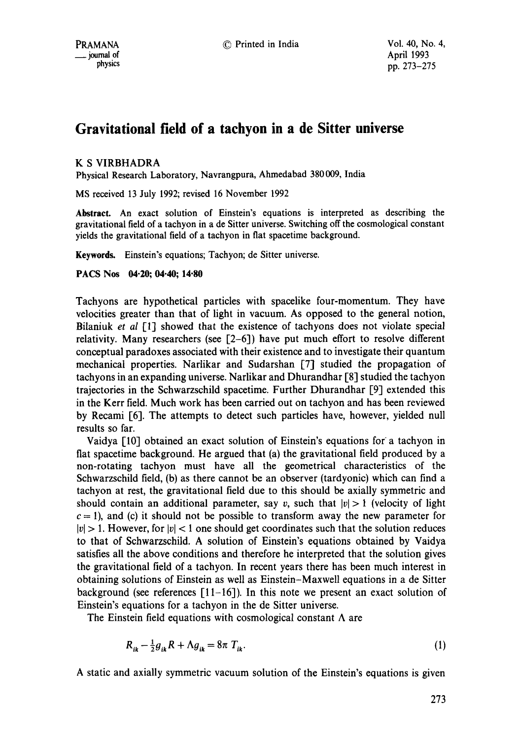# **Gravitational field of a tachyon in a de Sitter universe**

# K S VIRBHADRA

Physical Research Laboratory, Navrangpura, Ahmedabad 380 009, India

MS received 13 July 1992; revised 16 November 1992

Abstract. An exact solution of Einstein's equations is interpreted as describing the gravitational field of a tachyon in a de Sitter universe. Switching off the cosmological constant yields the gravitational field of a tachyon in fiat spacetime background.

Keywords. Einstein's equations; Tachyon; de Sitter universe.

#### **PACS Nos 04.20; 04.40; 14.80**

Tachyons are hypothetical particles with spacelike four-momentum. They have velocities greater than that of light in vacuum. As opposed to the general notion, Bilaniuk *et al* [1] showed that the existence of tachyons does not violate special relativity. Many researchers (see [2-6]) have put much effort to resolve different conceptual paradoxes associated with their existence and to investigate their quantum mechanical properties. Narlikar and Sudarshan [7] studied the propagation of tachyons in an expanding universe. Narlikar and Dhurandhar [8] studied the tachyon trajectories in the Schwarzschild spacetime. Further Dhurandhar [9] extended this in the Kerr field. Much work has been carried out on tachyon and has been reviewed by Recami [6]. The attempts to detect such particles have, however, yielded null results so far.

Vaidya [10] obtained an exact solution of Einstein's equations for a tachyon in flat spacetime background. He argued that (a) the gravitational field produced by a non-rotating tachyon must have all the geometrical characteristics of the Schwarzschild field, (b) as there cannot be an observer (tardyonic) which can find a tachyon at rest, the gravitational field due to this should be axially symmetric and should contain an additional parameter, say v, such that  $|v| > 1$  (velocity of light  $c = 1$ ), and (c) it should not be possible to transform away the new parameter for  $|v| > 1$ . However, for  $|v| < 1$  one should get coordinates such that the solution reduces to that of Schwarzschild. A solution of Einstein's equations obtained by Vaidya satisfies all the above conditions and therefore he interpreted that the solution gives the gravitational field of a tachyon. In recent years there has been much interest in obtaining solutions of Einstein as well as Einstein-Maxwell equations in a de Sitter background (see references  $\lceil 11-16 \rceil$ ). In this note we present an exact solution of Einstein's equations for a tachyon in the de Sitter universe.

The Einstein field equations with cosmological constant  $\Lambda$  are

$$
R_{ik} - \frac{1}{2}g_{ik}R + \Lambda g_{ik} = 8\pi T_{ik}.
$$
 (1)

A static and axially symmetric vacuum solution of the Einstein's equations is given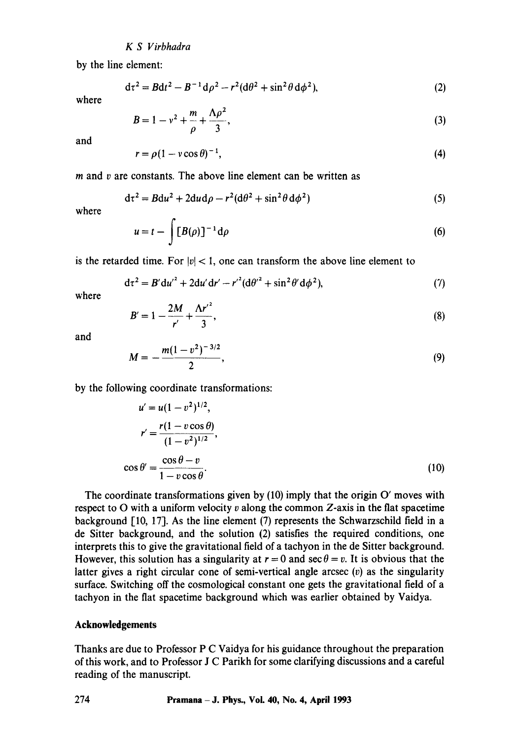### *KS Virbhadra*

by the line element:

$$
d\tau^2 = Bdt^2 - B^{-1}d\rho^2 - r^2(d\theta^2 + \sin^2\theta d\phi^2),
$$
 (2)

where

$$
B = 1 - v^2 + \frac{m}{\rho} + \frac{\Lambda \rho^2}{3},
$$
 (3)

and

$$
r = \rho (1 - v \cos \theta)^{-1},\tag{4}
$$

 *and*  $*v*$  *are constants. The above line element can be written as* 

$$
d\tau^2 = B du^2 + 2du d\rho - r^2 (d\theta^2 + \sin^2 \theta d\phi^2)
$$
 (5)

where

$$
u = t - \int [B(\rho)]^{-1} d\rho \tag{6}
$$

is the retarded time. For  $|v| < 1$ , one can transform the above line element to

$$
d\tau^2 = B' du'^2 + 2du'dr' - r'^2 (d\theta'^2 + \sin^2 \theta' d\phi^2),
$$
 (7)

where

$$
B'=1-\frac{2M}{r'}+\frac{\Lambda r'^2}{3},\qquad(8)
$$

and

$$
M=-\frac{m(1-v^2)^{-3/2}}{2},\qquad \qquad (9)
$$

by the following coordinate transformations:

$$
u' = u(1 - v^2)^{1/2},
$$
  
\n
$$
r' = \frac{r(1 - v \cos \theta)}{(1 - v^2)^{1/2}},
$$
  
\n
$$
\cos \theta' = \frac{\cos \theta - v}{1 - v \cos \theta}.
$$
 (10)

The coordinate transformations given by (10) imply that the origin O' moves with respect to  $O$  with a uniform velocity  $v$  along the common Z-axis in the flat spacetime background [10, 17]. As the line element (7) represents the Schwarzschild field in a de Sitter background, and the solution (2) satisfies the required conditions, one interprets this to give the gravitational field of a tachyon in the de Sitter background. However, this solution has a singularity at  $r = 0$  and sec  $\theta = v$ . It is obvious that the latter gives a right circular cone of semi-vertical angle arcsec  $(v)$  as the singularity surface. Switching off the cosmological constant one gets the gravitational field of a tachyon in the fiat spacetime background which was earlier obtained by Vaidya.

#### **Acknowledgements**

Thanks are due to Professor P C Vaidya for his guidance throughout the preparation of this work, and to Professor J C Parikh for some clarifying discussions and a careful reading of the manuscript.